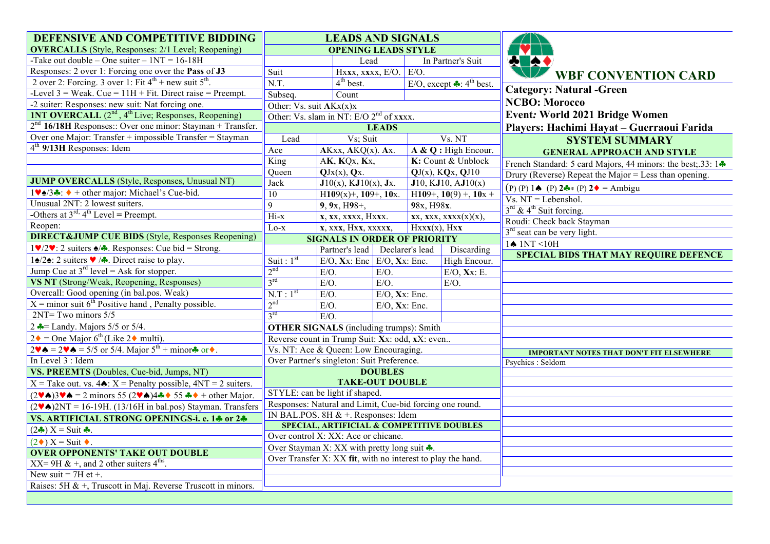| DEFENSIVE AND COMPETITIVE BIDDING                                                                                                                                          | <b>LEADS AND SIGNALS</b>                            |                                                             |                                     |                                                 |                                                                          |
|----------------------------------------------------------------------------------------------------------------------------------------------------------------------------|-----------------------------------------------------|-------------------------------------------------------------|-------------------------------------|-------------------------------------------------|--------------------------------------------------------------------------|
| <b>OVERCALLS</b> (Style, Responses: 2/1 Level; Reopening)                                                                                                                  | <b>OPENING LEADS STYLE</b>                          |                                                             |                                     |                                                 |                                                                          |
| -Take out double – One suiter – $1NT = 16-18H$                                                                                                                             |                                                     | Lead                                                        |                                     | In Partner's Suit                               | <b>A</b>                                                                 |
| Responses: 2 over 1: Forcing one over the Pass of J3                                                                                                                       | Suit                                                | Hxxx, xxxx, E/O. E/O.                                       |                                     |                                                 | <b>WBF CONVENTION CARD</b>                                               |
| 2 over 2: Forcing. 3 over 1: Fit $4^{th}$ + new suit $5^{th}$ .                                                                                                            | N.T.                                                | $4th$ best.                                                 |                                     | E/O, except $\clubsuit$ : 4 <sup>th</sup> best. |                                                                          |
| -Level $3$ = Weak. Cue = $11H + Fit$ . Direct raise = Preempt.                                                                                                             | Subseq.                                             | Count                                                       |                                     |                                                 | <b>Category: Natural -Green</b>                                          |
| -2 suiter: Responses: new suit: Nat forcing one.                                                                                                                           | Other: $\overline{Vs.}$ suit $AKx(x)x$              |                                                             |                                     |                                                 | <b>NCBO: Morocco</b>                                                     |
| <b>INT OVERCALL</b> (2 <sup>nd</sup> , 4 <sup>th</sup> Live; Responses, Reopening)                                                                                         | Other: Vs. slam in NT: E/O 2 <sup>nd</sup> of xxxx. |                                                             |                                     |                                                 | <b>Event: World 2021 Bridge Women</b>                                    |
| $2nd$ 16/18H Responses:: Over one minor: Stayman + Transfer.                                                                                                               | <b>LEADS</b>                                        |                                                             |                                     |                                                 | Players: Hachimi Hayat - Guerraoui Farida                                |
| Over one Major: Transfer + impossible Transfer = Stayman                                                                                                                   | Lead<br>Vs; Suit                                    |                                                             |                                     | Vs. NT                                          | <b>SYSTEM SUMMARY</b>                                                    |
| $4th$ 9/13H Responses: Idem                                                                                                                                                | Ace                                                 | $AKxx, AKQ(x)$ . Ax.                                        |                                     | A & Q: High Encour.                             | <b>GENERAL APPROACH AND STYLE</b>                                        |
|                                                                                                                                                                            | King                                                | AK, KQx, Kx,                                                |                                     | K: Count & Unblock                              | French Standard: 5 card Majors, 44 minors: the best; 33: $1 \cdot \cdot$ |
|                                                                                                                                                                            | Queen                                               | $QJx(x)$ , $Qx$ .                                           | $\overline{QJ(x)}$ , $KQx$ , $QJ10$ |                                                 | Drury (Reverse) Repeat the Major = Less than opening.                    |
| <b>JUMP OVERCALLS</b> (Style, Responses, Unusual NT)                                                                                                                       | <b>Jack</b>                                         | $J10(x)$ , KJ $10(x)$ , Jx.                                 |                                     | J10, KJ10, AJ10(x)                              | $(P)$ (P) 14 (P) 2 (P) 2 = Ambigu                                        |
| $1\blacktriangledown\triangleleft/3\clubsuit$ : $\blacklozenge$ + other major: Michael's Cue-bid.                                                                          | $\overline{10}$                                     | $H109(x) +$ , 109+, 10x.                                    | H109+, $10(9) +$ , $10x +$          |                                                 | $Vs. NT = Lebenshol.$                                                    |
| Unusual 2NT: 2 lowest suiters.                                                                                                                                             | $\overline{9}$                                      | 9, 9x, H98+,                                                | 98x, H98x.                          |                                                 | $3^{\text{rd}}$ & 4 <sup>th</sup> Suit forcing.                          |
| -Others at $3^{\text{rd}}$ , $4^{\text{th}}$ Level = Preempt.                                                                                                              | $Hi-x$                                              | x, xx, xxxx, Hxxx.                                          | $XX$ , $XXX$ , $XXX(X)(X)$ ,        |                                                 | Roudi: Check back Stayman                                                |
| Reopen:                                                                                                                                                                    | x, xxx, Hxx, xxxxx,<br>$Lo-x$                       |                                                             |                                     | Hxxx(x), Hxx                                    | 3 <sup>rd</sup> seat can be very light.                                  |
| <b>DIRECT&amp;JUMP CUE BIDS</b> (Style, Responses Reopening)                                                                                                               | <b>SIGNALS IN ORDER OF PRIORITY</b>                 |                                                             |                                     |                                                 | $1\spadesuit$ 1NT <10H                                                   |
| $1\blacktriangledown/2\blacktriangledown$ : 2 suiters $\blacktriangle/\blacktriangledown$ . Responses: Cue bid = Strong.                                                   |                                                     | Partner's lead Declarer's lead                              |                                     | Discarding                                      | <b>SPECIAL BIDS THAT MAY REQUIRE DEFENCE</b>                             |
| 1∤2∤: 2 suiters $\blacktriangledown$ /*. Direct raise to play.                                                                                                             | Suit: $1st$                                         | $E/O$ , Xx: Enc $E/O$ , Xx: Enc.                            |                                     | High Encour.                                    |                                                                          |
| Jump Cue at $3^{rd}$ level = Ask for stopper.                                                                                                                              | 2 <sup>nd</sup>                                     | $E/O$ .<br>$E/O$ .                                          |                                     | $E/O$ , Xx: E.                                  |                                                                          |
| VS NT (Strong/Weak, Reopening, Responses)                                                                                                                                  | 3 <sup>rd</sup>                                     | $E/O$ .<br>$E/O$ .                                          |                                     | $E/O$ .                                         |                                                                          |
| Overcall: Good opening (in bal.pos. Weak)                                                                                                                                  | N.T : 1 <sup>st</sup>                               | $E/O$ .<br>$E/O$ , Xx: Enc.                                 |                                     |                                                 |                                                                          |
| $X =$ minor suit 6 <sup>th</sup> Positive hand, Penalty possible.                                                                                                          | 2 <sup>nd</sup><br>$E/O$ .<br>$E/O$ , Xx: Enc.      |                                                             |                                     |                                                 |                                                                          |
| $2NT = Two minors 5/5$                                                                                                                                                     | $3^{\text{rd}}$                                     | $E/O$ .                                                     |                                     |                                                 |                                                                          |
| 2 $\bullet$ = Landy. Majors 5/5 or 5/4.                                                                                                                                    | <b>OTHER SIGNALS</b> (including trumps): Smith      |                                                             |                                     |                                                 |                                                                          |
| $2\bullet$ = One Major 6 <sup>th</sup> (Like 2 $\bullet$ multi).                                                                                                           | Reverse count in Trump Suit: Xx: odd, xX: even      |                                                             |                                     |                                                 |                                                                          |
| $2\blacktriangledown \spadesuit = 2\blacktriangledown \spadesuit = 5/5$ or 5/4. Major $5^{\text{th}} + \text{minor} \clubsuit$ or $\blacklozenge$ .                        |                                                     | Vs. NT: Ace & Queen: Low Encouraging.                       |                                     |                                                 | <b>IMPORTANT NOTES THAT DON'T FIT ELSEWHERE</b>                          |
| In Level 3 : Idem                                                                                                                                                          |                                                     | Over Partner's singleton: Suit Preference.                  |                                     |                                                 | Psychics: Seldom                                                         |
| VS. PREEMTS (Doubles, Cue-bid, Jumps, NT)                                                                                                                                  | <b>DOUBLES</b>                                      |                                                             |                                     |                                                 |                                                                          |
| $X =$ Take out. vs. 4 $\triangle$ : $X =$ Penalty possible, 4NT = 2 suiters.                                                                                               |                                                     | <b>TAKE-OUT DOUBLE</b>                                      |                                     |                                                 |                                                                          |
| $(2\blacktriangledown\spadesuit)3\blacktriangledown\spadesuit = 2$ minors 55 $(2\blacktriangledown\spadesuit)4\clubsuit\spadesuit$ 55 $\clubsuit\spadesuit$ + other Major. |                                                     | STYLE: can be light if shaped.                              |                                     |                                                 |                                                                          |
| $(2\blacktriangledown\spadesuit)2NT = 16-19H$ . (13/16H in bal.pos) Stayman. Transfers                                                                                     |                                                     | Responses: Natural and Limit, Cue-bid forcing one round.    |                                     |                                                 |                                                                          |
| VS. ARTIFICIAL STRONG OPENINGS-i. e. 14 or 24                                                                                                                              |                                                     | IN BAL.POS. 8H $& +$ . Responses: Idem                      |                                     |                                                 |                                                                          |
| $(2\clubsuit) X = Suit \clubsuit$ .                                                                                                                                        |                                                     | <b>SPECIAL, ARTIFICIAL &amp; COMPETITIVE DOUBLES</b>        |                                     |                                                 |                                                                          |
| $(2\bullet) X = Suit \bullet$ .                                                                                                                                            |                                                     | Over control X: XX: Ace or chicane.                         |                                     |                                                 |                                                                          |
| <b>OVER OPPONENTS' TAKE OUT DOUBLE</b>                                                                                                                                     |                                                     | Over Stayman X: XX with pretty long suit $\clubsuit$ .      |                                     |                                                 |                                                                          |
| XX= 9H & +, and 2 other suiters $4^{\text{ths}}$ .                                                                                                                         |                                                     | Over Transfer X: XX fit, with no interest to play the hand. |                                     |                                                 |                                                                          |
| New suit = $7H$ et +.                                                                                                                                                      |                                                     |                                                             |                                     |                                                 |                                                                          |
| Raises: 5H & $+$ , Truscott in Maj. Reverse Truscott in minors.                                                                                                            |                                                     |                                                             |                                     |                                                 |                                                                          |
|                                                                                                                                                                            |                                                     |                                                             |                                     |                                                 |                                                                          |